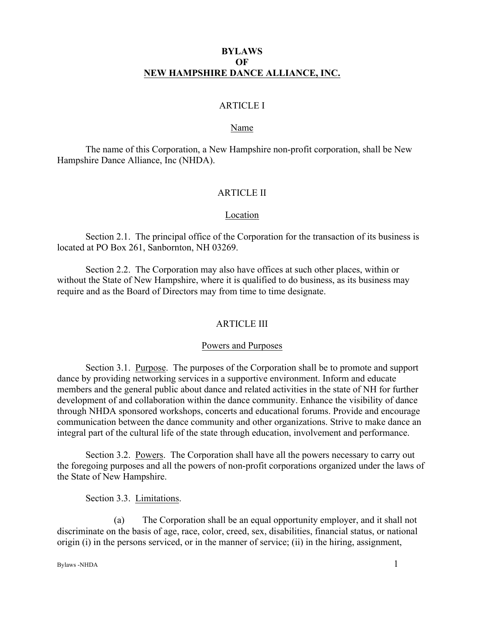# **BYLAWS OF NEW HAMPSHIRE DANCE ALLIANCE, INC.**

# ARTICLE I

#### Name

The name of this Corporation, a New Hampshire non-profit corporation, shall be New Hampshire Dance Alliance, Inc (NHDA).

### ARTICLE II

#### Location

Section 2.1. The principal office of the Corporation for the transaction of its business is located at PO Box 261, Sanbornton, NH 03269.

Section 2.2. The Corporation may also have offices at such other places, within or without the State of New Hampshire, where it is qualified to do business, as its business may require and as the Board of Directors may from time to time designate.

### ARTICLE III

#### Powers and Purposes

Section 3.1. Purpose. The purposes of the Corporation shall be to promote and support dance by providing networking services in a supportive environment. Inform and educate members and the general public about dance and related activities in the state of NH for further development of and collaboration within the dance community. Enhance the visibility of dance through NHDA sponsored workshops, concerts and educational forums. Provide and encourage communication between the dance community and other organizations. Strive to make dance an integral part of the cultural life of the state through education, involvement and performance.

Section 3.2. Powers. The Corporation shall have all the powers necessary to carry out the foregoing purposes and all the powers of non-profit corporations organized under the laws of the State of New Hampshire.

Section 3.3. Limitations.

(a) The Corporation shall be an equal opportunity employer, and it shall not discriminate on the basis of age, race, color, creed, sex, disabilities, financial status, or national origin (i) in the persons serviced, or in the manner of service; (ii) in the hiring, assignment,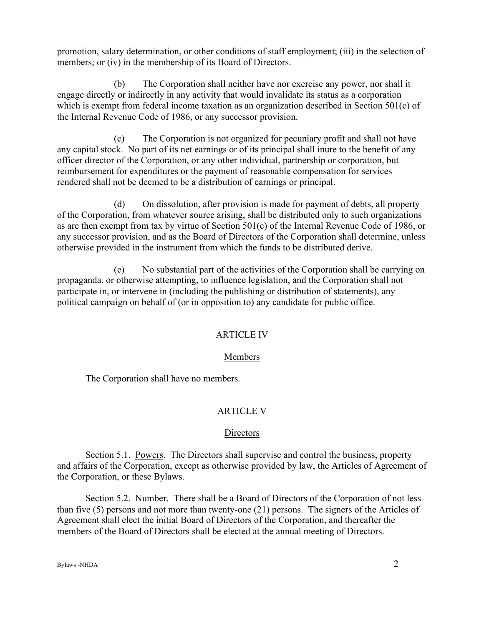promotion, salary determination, or other conditions of staff employment; (iii) in the selection of members; or (iv) in the membership of its Board of Directors.

(b) The Corporation shall neither have nor exercise any power, nor shall it engage directly or indirectly in any activity that would invalidate its status as a corporation which is exempt from federal income taxation as an organization described in Section 501(c) of the Internal Revenue Code of 1986, or any successor provision.

(c) The Corporation is not organized for pecuniary profit and shall not have any capital stock. No part of its net earnings or of its principal shall inure to the benefit of any officer director of the Corporation, or any other individual, partnership or corporation, but reimbursement for expenditures or the payment of reasonable compensation for services rendered shall not be deemed to be a distribution of earnings or principal.

(d) On dissolution, after provision is made for payment of debts, all property of the Corporation, from whatever source arising, shall be distributed only to such organizations as are then exempt from tax by virtue of Section 501(c) of the Internal Revenue Code of 1986, or any successor provision, and as the Board of Directors of the Corporation shall determine, unless otherwise provided in the instrument from which the funds to be distributed derive.

(e) No substantial part of the activities of the Corporation shall be carrying on propaganda, or otherwise attempting, to influence legislation, and the Corporation shall not participate in, or intervene in (including the publishing or distribution of statements), any political campaign on behalf of (or in opposition to) any candidate for public office.

## ARTICLE IV

## Members

The Corporation shall have no members.

## ARTICLE V

### **Directors**

Section 5.1. Powers. The Directors shall supervise and control the business, property and affairs of the Corporation, except as otherwise provided by law, the Articles of Agreement of the Corporation, or these Bylaws.

Section 5.2. Number. There shall be a Board of Directors of the Corporation of not less than five (5) persons and not more than twenty-one (21) persons. The signers of the Articles of Agreement shall elect the initial Board of Directors of the Corporation, and thereafter the members of the Board of Directors shall be elected at the annual meeting of Directors.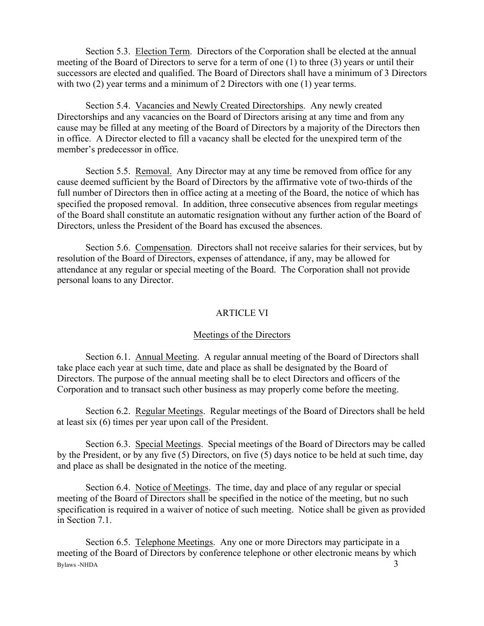Section 5.3. Election Term. Directors of the Corporation shall be elected at the annual meeting of the Board of Directors to serve for a term of one (1) to three (3) years or until their successors are elected and qualified. The Board of Directors shall have a minimum of 3 Directors with two (2) year terms and a minimum of 2 Directors with one (1) year terms.

Section 5.4. Vacancies and Newly Created Directorships. Any newly created Directorships and any vacancies on the Board of Directors arising at any time and from any cause may be filled at any meeting of the Board of Directors by a majority of the Directors then in office. A Director elected to fill a vacancy shall be elected for the unexpired term of the member's predecessor in office.

Section 5.5. Removal. Any Director may at any time be removed from office for any cause deemed sufficient by the Board of Directors by the affirmative vote of two-thirds of the full number of Directors then in office acting at a meeting of the Board, the notice of which has specified the proposed removal. In addition, three consecutive absences from regular meetings of the Board shall constitute an automatic resignation without any further action of the Board of Directors, unless the President of the Board has excused the absences.

Section 5.6. Compensation. Directors shall not receive salaries for their services, but by resolution of the Board of Directors, expenses of attendance, if any, may be allowed for attendance at any regular or special meeting of the Board. The Corporation shall not provide personal loans to any Director.

## ARTICLE VI

### Meetings of the Directors

Section 6.1. Annual Meeting. A regular annual meeting of the Board of Directors shall take place each year at such time, date and place as shall be designated by the Board of Directors. The purpose of the annual meeting shall be to elect Directors and officers of the Corporation and to transact such other business as may properly come before the meeting.

Section 6.2. Regular Meetings. Regular meetings of the Board of Directors shall be held at least six (6) times per year upon call of the President.

Section 6.3. Special Meetings. Special meetings of the Board of Directors may be called by the President, or by any five (5) Directors, on five (5) days notice to be held at such time, day and place as shall be designated in the notice of the meeting.

Section 6.4. Notice of Meetings. The time, day and place of any regular or special meeting of the Board of Directors shall be specified in the notice of the meeting, but no such specification is required in a waiver of notice of such meeting. Notice shall be given as provided in Section 7.1.

 $Bylaws -NHDA$  3 Section 6.5. Telephone Meetings. Any one or more Directors may participate in a meeting of the Board of Directors by conference telephone or other electronic means by which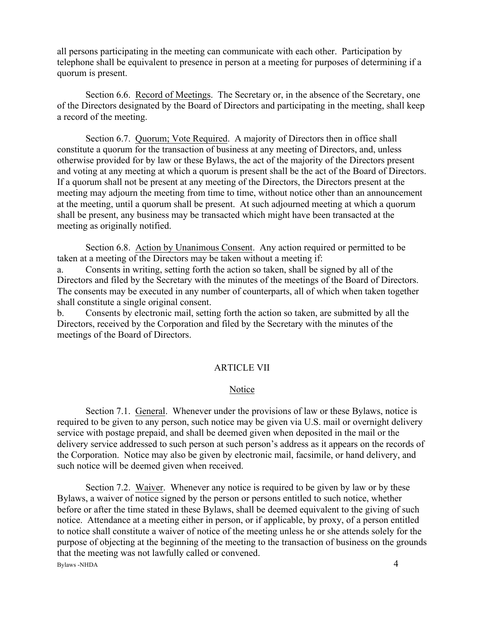all persons participating in the meeting can communicate with each other. Participation by telephone shall be equivalent to presence in person at a meeting for purposes of determining if a quorum is present.

Section 6.6. Record of Meetings. The Secretary or, in the absence of the Secretary, one of the Directors designated by the Board of Directors and participating in the meeting, shall keep a record of the meeting.

Section 6.7. Quorum; Vote Required. A majority of Directors then in office shall constitute a quorum for the transaction of business at any meeting of Directors, and, unless otherwise provided for by law or these Bylaws, the act of the majority of the Directors present and voting at any meeting at which a quorum is present shall be the act of the Board of Directors. If a quorum shall not be present at any meeting of the Directors, the Directors present at the meeting may adjourn the meeting from time to time, without notice other than an announcement at the meeting, until a quorum shall be present. At such adjourned meeting at which a quorum shall be present, any business may be transacted which might have been transacted at the meeting as originally notified.

Section 6.8. Action by Unanimous Consent. Any action required or permitted to be taken at a meeting of the Directors may be taken without a meeting if:

a. Consents in writing, setting forth the action so taken, shall be signed by all of the Directors and filed by the Secretary with the minutes of the meetings of the Board of Directors. The consents may be executed in any number of counterparts, all of which when taken together shall constitute a single original consent.

b. Consents by electronic mail, setting forth the action so taken, are submitted by all the Directors, received by the Corporation and filed by the Secretary with the minutes of the meetings of the Board of Directors.

## ARTICLE VII

#### Notice

Section 7.1. General. Whenever under the provisions of law or these Bylaws, notice is required to be given to any person, such notice may be given via U.S. mail or overnight delivery service with postage prepaid, and shall be deemed given when deposited in the mail or the delivery service addressed to such person at such person's address as it appears on the records of the Corporation. Notice may also be given by electronic mail, facsimile, or hand delivery, and such notice will be deemed given when received.

Section 7.2. Waiver. Whenever any notice is required to be given by law or by these Bylaws, a waiver of notice signed by the person or persons entitled to such notice, whether before or after the time stated in these Bylaws, shall be deemed equivalent to the giving of such notice. Attendance at a meeting either in person, or if applicable, by proxy, of a person entitled to notice shall constitute a waiver of notice of the meeting unless he or she attends solely for the purpose of objecting at the beginning of the meeting to the transaction of business on the grounds that the meeting was not lawfully called or convened.

 $Bylaws -NHDA$  4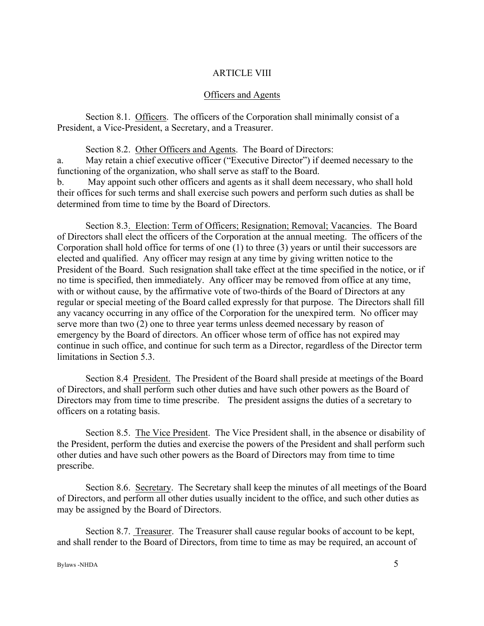## ARTICLE VIII

#### Officers and Agents

Section 8.1. Officers. The officers of the Corporation shall minimally consist of a President, a Vice-President, a Secretary, and a Treasurer.

Section 8.2. Other Officers and Agents. The Board of Directors:

a. May retain a chief executive officer ("Executive Director") if deemed necessary to the functioning of the organization, who shall serve as staff to the Board.

b. May appoint such other officers and agents as it shall deem necessary, who shall hold their offices for such terms and shall exercise such powers and perform such duties as shall be determined from time to time by the Board of Directors.

Section 8.3. Election: Term of Officers; Resignation; Removal; Vacancies. The Board of Directors shall elect the officers of the Corporation at the annual meeting. The officers of the Corporation shall hold office for terms of one (1) to three (3) years or until their successors are elected and qualified. Any officer may resign at any time by giving written notice to the President of the Board. Such resignation shall take effect at the time specified in the notice, or if no time is specified, then immediately. Any officer may be removed from office at any time, with or without cause, by the affirmative vote of two-thirds of the Board of Directors at any regular or special meeting of the Board called expressly for that purpose. The Directors shall fill any vacancy occurring in any office of the Corporation for the unexpired term. No officer may serve more than two (2) one to three year terms unless deemed necessary by reason of emergency by the Board of directors. An officer whose term of office has not expired may continue in such office, and continue for such term as a Director, regardless of the Director term limitations in Section 5.3.

Section 8.4 President. The President of the Board shall preside at meetings of the Board of Directors, and shall perform such other duties and have such other powers as the Board of Directors may from time to time prescribe. The president assigns the duties of a secretary to officers on a rotating basis.

Section 8.5. The Vice President. The Vice President shall, in the absence or disability of the President, perform the duties and exercise the powers of the President and shall perform such other duties and have such other powers as the Board of Directors may from time to time prescribe.

Section 8.6. Secretary. The Secretary shall keep the minutes of all meetings of the Board of Directors, and perform all other duties usually incident to the office, and such other duties as may be assigned by the Board of Directors.

Section 8.7. Treasurer. The Treasurer shall cause regular books of account to be kept, and shall render to the Board of Directors, from time to time as may be required, an account of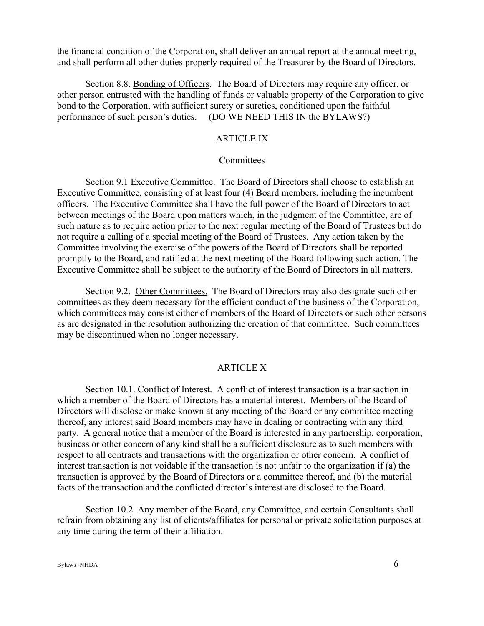the financial condition of the Corporation, shall deliver an annual report at the annual meeting, and shall perform all other duties properly required of the Treasurer by the Board of Directors.

Section 8.8. Bonding of Officers. The Board of Directors may require any officer, or other person entrusted with the handling of funds or valuable property of the Corporation to give bond to the Corporation, with sufficient surety or sureties, conditioned upon the faithful performance of such person's duties. (DO WE NEED THIS IN the BYLAWS?)

## ARTICLE IX

#### **Committees**

Section 9.1 Executive Committee. The Board of Directors shall choose to establish an Executive Committee, consisting of at least four (4) Board members, including the incumbent officers. The Executive Committee shall have the full power of the Board of Directors to act between meetings of the Board upon matters which, in the judgment of the Committee, are of such nature as to require action prior to the next regular meeting of the Board of Trustees but do not require a calling of a special meeting of the Board of Trustees. Any action taken by the Committee involving the exercise of the powers of the Board of Directors shall be reported promptly to the Board, and ratified at the next meeting of the Board following such action. The Executive Committee shall be subject to the authority of the Board of Directors in all matters.

Section 9.2. Other Committees. The Board of Directors may also designate such other committees as they deem necessary for the efficient conduct of the business of the Corporation, which committees may consist either of members of the Board of Directors or such other persons as are designated in the resolution authorizing the creation of that committee. Such committees may be discontinued when no longer necessary.

### ARTICLE X

Section 10.1. Conflict of Interest. A conflict of interest transaction is a transaction in which a member of the Board of Directors has a material interest. Members of the Board of Directors will disclose or make known at any meeting of the Board or any committee meeting thereof, any interest said Board members may have in dealing or contracting with any third party. A general notice that a member of the Board is interested in any partnership, corporation, business or other concern of any kind shall be a sufficient disclosure as to such members with respect to all contracts and transactions with the organization or other concern. A conflict of interest transaction is not voidable if the transaction is not unfair to the organization if (a) the transaction is approved by the Board of Directors or a committee thereof, and (b) the material facts of the transaction and the conflicted director's interest are disclosed to the Board.

Section 10.2 Any member of the Board, any Committee, and certain Consultants shall refrain from obtaining any list of clients/affiliates for personal or private solicitation purposes at any time during the term of their affiliation.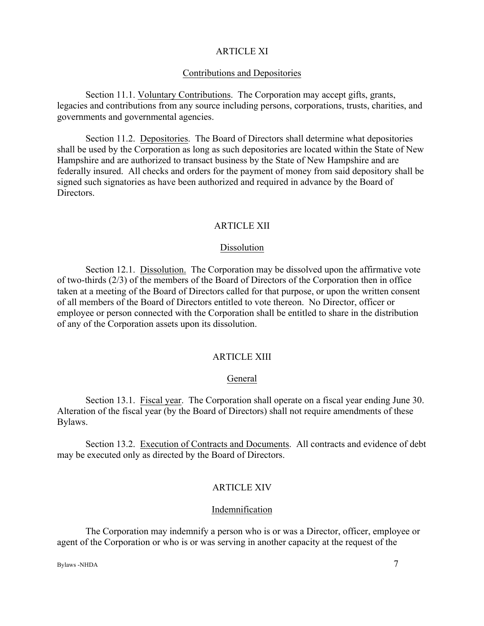### ARTICLE XI

#### Contributions and Depositories

Section 11.1. Voluntary Contributions. The Corporation may accept gifts, grants, legacies and contributions from any source including persons, corporations, trusts, charities, and governments and governmental agencies.

Section 11.2. Depositories. The Board of Directors shall determine what depositories shall be used by the Corporation as long as such depositories are located within the State of New Hampshire and are authorized to transact business by the State of New Hampshire and are federally insured. All checks and orders for the payment of money from said depository shall be signed such signatories as have been authorized and required in advance by the Board of **Directors** 

### ARTICLE XII

### Dissolution

Section 12.1. Dissolution. The Corporation may be dissolved upon the affirmative vote of two-thirds (2/3) of the members of the Board of Directors of the Corporation then in office taken at a meeting of the Board of Directors called for that purpose, or upon the written consent of all members of the Board of Directors entitled to vote thereon. No Director, officer or employee or person connected with the Corporation shall be entitled to share in the distribution of any of the Corporation assets upon its dissolution.

## ARTICLE XIII

### General

Section 13.1. Fiscal year. The Corporation shall operate on a fiscal year ending June 30. Alteration of the fiscal year (by the Board of Directors) shall not require amendments of these Bylaws.

Section 13.2. Execution of Contracts and Documents. All contracts and evidence of debt may be executed only as directed by the Board of Directors.

## ARTICLE XIV

#### Indemnification

The Corporation may indemnify a person who is or was a Director, officer, employee or agent of the Corporation or who is or was serving in another capacity at the request of the